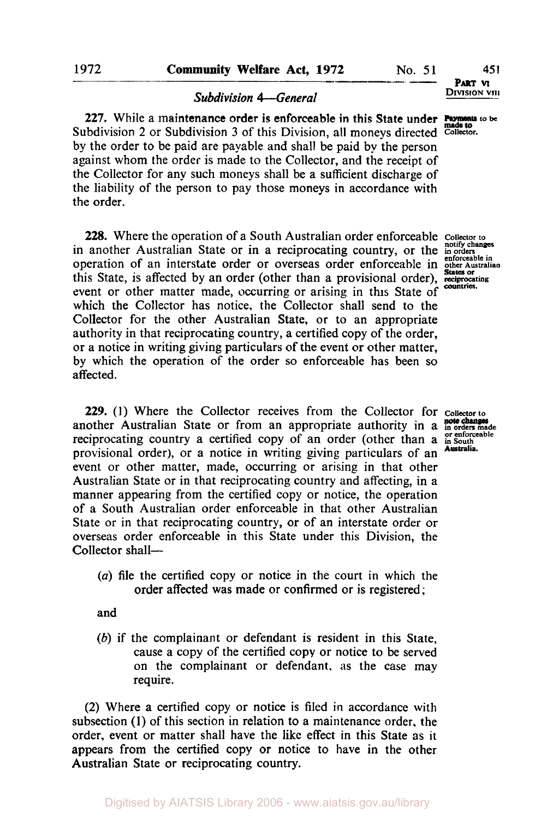### *Subdivision 4-General*

227. While a maintenance order is enforceable in this State under **Payments** to be Subdivision 2 or Subdivision 3 of this Division, all moneys directed **Collector**. by the order to be paid are payable and shall be paid by the person against whom the order is made to the Collector, and the receipt of the Collector for any such moneys shall be a sufficient discharge of the liability of the person to pay those moneys in accordance with the order.

**228.** Where the operation of a South Australian order enforceable collector to in another Australian State or in a reciprocating country, or the **in** orders in a **prote** operation of an interstate order or overseas order enforceable in **other Australian**  this State, **is** affected by an order (other than a provisional order), **reciprocating States or**  event or other matter made, occurring or arising in this State of which the Collector has notice, the Collector shall send to the Collector for the other Australian State, or to an appropriate authority in that reciprocating country, a certified copy of the order, or a notice in writing giving particulars of the event or other matter, by which the operation of the order so enforceable has been so affected.

**229. (1)** Where the Collector receives from the Collector for **Collector to**  another Australian State or from an appropriate authority in a **note changes** made reciprocating country a certified copy of an order (other than a **or** enforceable provisional order), or a notice in writing giving particulars of an event or other matter, made, occurring or arising in that other Australian State or in that reciprocating country and affecting, in a manner appearing from the certified copy or notice, the operation of a South Australian order enforceable in that other Australian State or in that reciprocating country, or of an interstate order or overseas order enforceable in this State under this Division, the Collector shall-

(a) file the certified copy or notice in the court in which the order affected was made or confirmed or is registered ;

and

*(b)* if the complainant or defendant is resident in this State, cause a copy of the certified copy or notice to be served on the complainant or defendant, as the case may require.

(2) Where a certified copy or notice is filed in accordance with subsection (1) of this section in relation to a maintenance order. the order, event or matter shall have the like effect in this State as it appears from the certified copy or notice to have in the other Australian State or reciprocating country.

**DIVISION VIII PART VI** 

**countries.**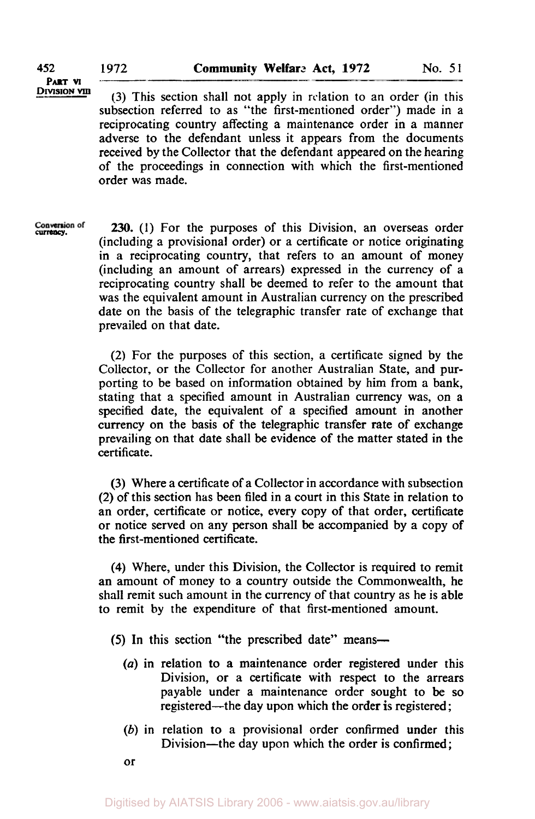**PART VI** 

DIVISION VIII (3) This section shall not apply in relation to an order (in this subsection referred to as "the first-mentioned order") made in a reciprocating country affecting a maintenance order in a manner adverse to the defendant unless it appears from the documents received by the Collector that the defendant appeared on the hearing of the proceedings in connection with which the first-mentioned order was made.

*currency.* 230. (I) For the purposes of this Division, an overseas order (including a provisional order) or a certificate or notice originating in a reciprocating country, that refers to an amount of money (including an amount of arrears) expressed in the currency of a reciprocating country shall be deemed to refer to the amount that was the equivalent amount in Australian currency on the prescribed date on the basis of the telegraphic transfer rate of exchange that prevailed on that date.

> (2) For the purposes of this section, a certificate signed by the Collector, or the Collector for another Australian State, and purporting to be based on information obtained by him from a bank, stating that a specified amount in Australian currency was, on a specified date, the equivalent of a specified amount in another currency on the basis of the telegraphic transfer rate of exchange prevailing on that date shall be evidence of the matter stated in the certificate.

> (3) Where a certificate of a Collector in accordance with subsection (2) of this section has been filed in a court in this State in relation **to**  an order, certificate or notice, every copy of that order, certificate or notice served on any person shall be accompanied by a copy of the first-mentioned certificate.

> **(4)** Where, under this Division, the Collector is required to remit an amount of money to a country outside the Commonwealth, he shall remit such amount in the currency of that country as he is able to remit by the expenditure of that first-mentioned amount.

(5) In this section "the prescribed date" means-

- *(a)* in relation to a maintenance order registered under this Division, or a certificate with respect **to** the arrears payable under a maintenance order sought to be so registered—the day upon which the order is registered;
- *(b)* in relation to a provisional order confirmed under this Division-the day upon which the order is confirmed;

or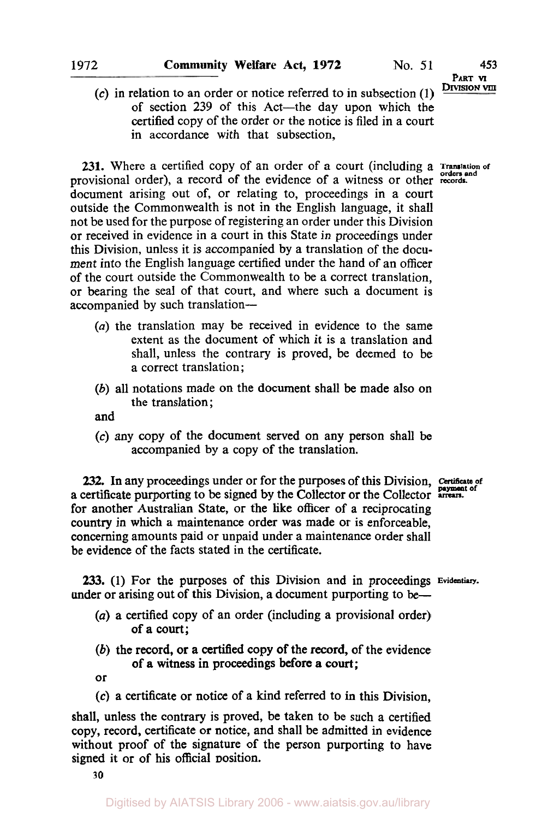# **PART VI**

 $\Omega$ ) in relation to an order or notice referred to in subsection  $(1)$ of section **239** of this Act-the day upon which the certified copy of the order or the notice is filed in a court in accordance with that subsection,

231. Where a certified copy of an order of a court (including a Translation of provisional order), a record of the evidence of a witness or other records. document arising out of, or relating to, proceedings in a court outside the Commonwealth is not in the English language, it shall not be used for the purpose of registering an order under this Division or received in evidence in a court in this State in proceedings under this Division, unless it is accompanied by a translation of the document into the English language certified under the hand of an officer of the court outside the Commonwealth to be a correct translation, or bearing the seal of that court, and where such a document is accompanied by such translation-

- *(a)* the translation may be received in evidence to the same extent as the document of which it is a translation and shall, unless the contrary is proved, be deemed to be a correct translation;
- *(b)* all notations made on the document shall be made also on the translation;

and

**(c)** any copy of the document served **on** any person shall be accompanied by a copy of the translation.

**232.** In any proceedings under or for the purposes of this Division, Certificate of a certificate purporting to be signed by the Collector or the Collector arrears. for another Australian State, or the like officer of a reciprocating country in which a maintenance order was made or **is** enforceable, concerning amounts paid or unpaid under a maintenance order shall be evidence of the facts stated in the certificate.

**233. (1)** For the purposes of this Division and in proceedings **Evidentiary.**  under or arising out of this Division, a document purporting to be—

- *(a)* a certified copy of an order (including a provisional order) of a court;
- *(b)* the record, or a certified copy of the record, of the evidence of a witness in proceedings before a court;

or

**(c)** a certificate or notice of a kind referred to in this Division,

shall, unless the contrary **is** proved, be taken to be such a certified copy, record, certificate or notice, and shall be admitted in evidence without proof of the signature of the person purporting to have signed it or of his official position.

*30*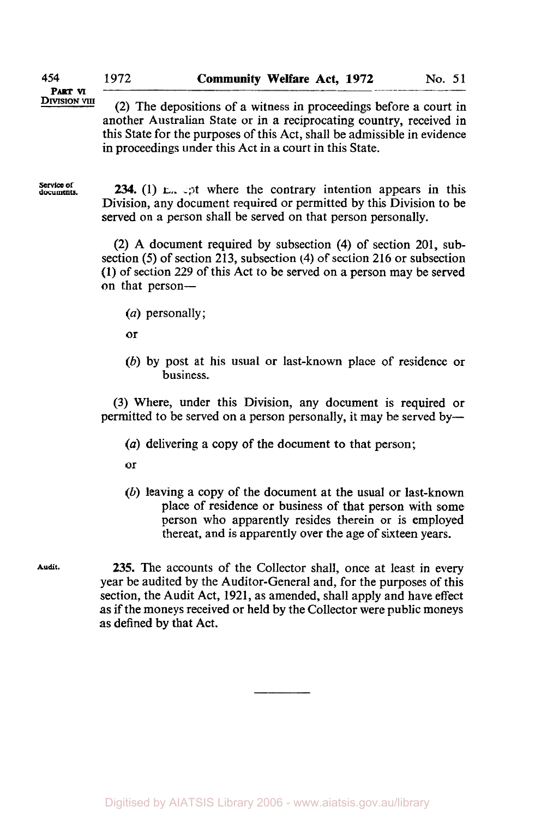**PART VI** 

**EXIMION VIII** (2) The depositions of a witness in proceedings before a court in another Australian State or in a reciprocating country, received in this State for the purposes of this Act, shall be admissible in evidence in proceedings under this Act in a court in this State.

**service of documents.** 

**234.** (1) **E**<sub>x</sub>,  $\circ$ <sub>2</sub>t where the contrary intention appears in this Division, any document required or permitted by this Division to be served on a person shall be served on that person personally.

(2) A document required by subsection **(4)** of section **201,** subsection **(5)** of section 213, subsection **(4)** of section **216** or subsection **(1)** of section **229** of this Act to be served on a person may be served on that person-

*(a)* personally;

or

*(b)* by post at his usual or last-known place of residence or business.

(3) Where, under this Division, any document is required or permitted to be served on a person personally, it may be served by-

*(a)* delivering a copy of the document to that person;

**or** 

*(b)* leaving a copy of the document at the usual or last-known place of residence or business of that person with some person who apparently resides therein or is employed thereat, and is apparently over the age of sixteen years.

**Audit. 235.** The accounts of the Collector shall, once at least in every year be audited by the Auditor-General and, for the purposes of this section, the Audit Act, **1921,** as amended, shall apply and have effect as if the moneys received or held by the Collector were public moneys as defined by that Act.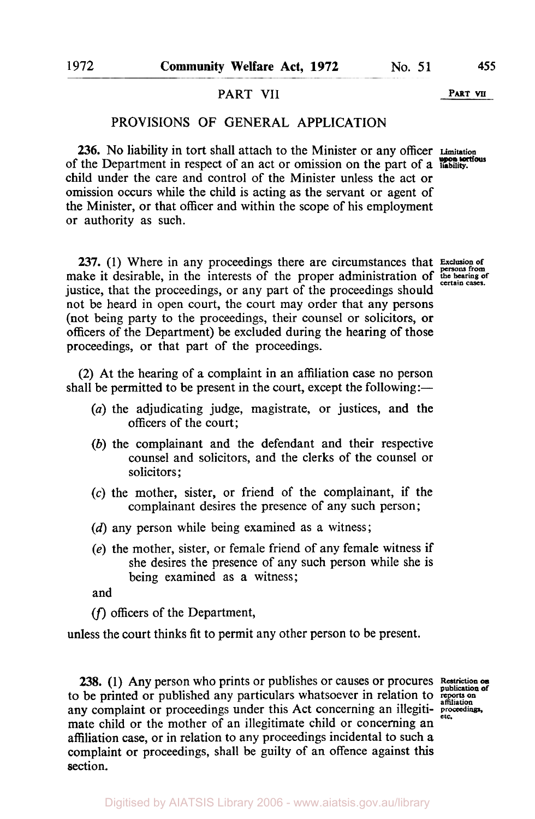#### PART VII PART **VII**

## PROVISIONS OF GENERAL APPLICATION

**236.** No liability in tort shall attach to the Minister or any officer **Limitation upon tortious** of the Department in respect of an act or omission on the part of a **liability.**  child under the care and control of the Minister unless the act or omission occurs while the child is acting as the servant or agent of the Minister, or that officer and within the scope of his employment **or** authority as such.

**237.** (1) Where in any proceedings there are circumstances that Exclusion of make it desirable, in the interests of the proper administration of the hearing of justice, that the proceedings, or any part of the proceedings should not be heard in open court, the court may order that any persons (not being party to the proceedings, their counsel or solicitors, **or**  officers of the Department) be excluded during the hearing of those proceedings, or that part of the proceedings.

**(2)** At the hearing of a complaint in an affiliation case no person shall be permitted to be present in the court, except the following:—

- *(a)* the adjudicating judge, magistrate, or justices, and the officers of the court;
- *(b)* the complainant and the defendant and their respective counsel and solicitors, and the clerks of the counsel **or**  solicitors ;
- **(c)** the mother, sister, or friend of the complainant, if the complainant desires the presence of any such person;
- (d) any person while being examined as a witness;
- *(e)* the mother, sister, or female friend of any female witness if she desires the presence of any such person while she is being examined as a witness;

and

(f) officers of the Department,

unless the court thinks fit to permit any other person to be present.

**238.** (1) Any person who prints or publishes or causes or procures **Restriction** on to be printed or published any particulars whatsoever in relation to **reports on affiliation**  any complaint or proceedings under this Act concerning an illegitimate child or the mother of an illegitimate child or concerning an affiliation case, or in relation to any proceedings incidental to such a complaint or proceedings, shall be guilty of an offence against this section.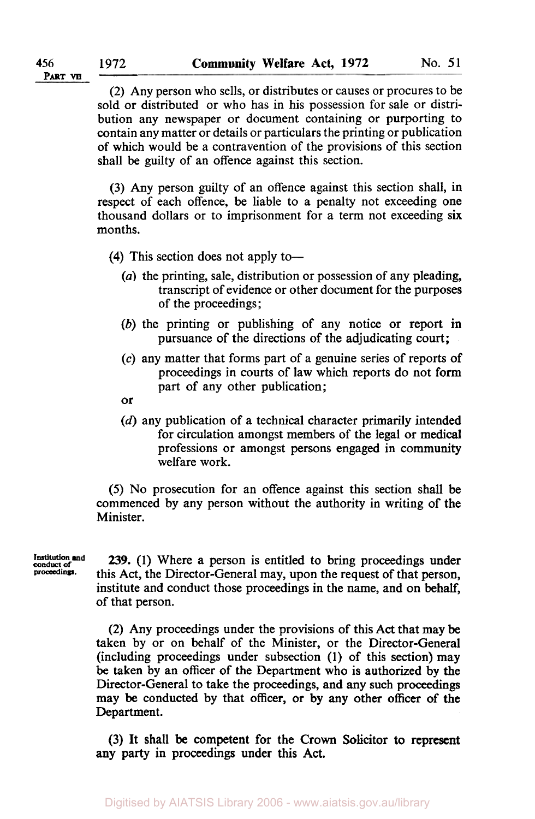(2) Any person who sells, or distributes or causes or procures to be sold or distributed or who has in his possession for sale or distribution any newspaper or document containing or purporting to contain any matter or details or particulars the printing or publication of which would be a contravention of the provisions of this section shall be guilty of an offence against this section.

(3) Any person guilty of an offence against this section shall, in respect of each offence, be liable to a penalty not exceeding one thousand dollars or to imprisonment for a term not exceeding six months.

**(4)** This section does not apply to-

- *(a)* the printing, sale, distribution or possession of any pleading, transcript of evidence or other document for the purposes of the proceedings;
- *(b)* the printing or publishing of any notice or report in pursuance of the directions of the adjudicating court;
- **(c)** any matter that forms part of a genuine series of reports of proceedings in courts of law which reports do not form part of any other publication;
- or
- (d) any publication of a technical character primarily intended for circulation amongst members of the legal or medical professions or amongst persons engaged in community welfare work.

*(5)* No prosecution for an offence against this section shall be commenced by any person without the authority in writing of the Minister.

**Institution and proceedings** 

239. **(1)** Where a person is entitled to bring proceedings under this Act, the Director-General may, upon the request of that person, institute and conduct those proceedings in the name, and on behalf, of that person.

(2) Any proceedings under the provisions of this Act that may be taken by or on behalf of the Minister, or the Director-General (including proceedings under subsection (1) of this section) may be taken by an officer of the Department who is authorized by the Director-General to take the proceedings, and any such proceedings may be conducted by that officer, or by any other **officer** of **the**  Department.

(3) It shall be competent for the Crown Solicitor **to** represent any party in proceedings under this Act.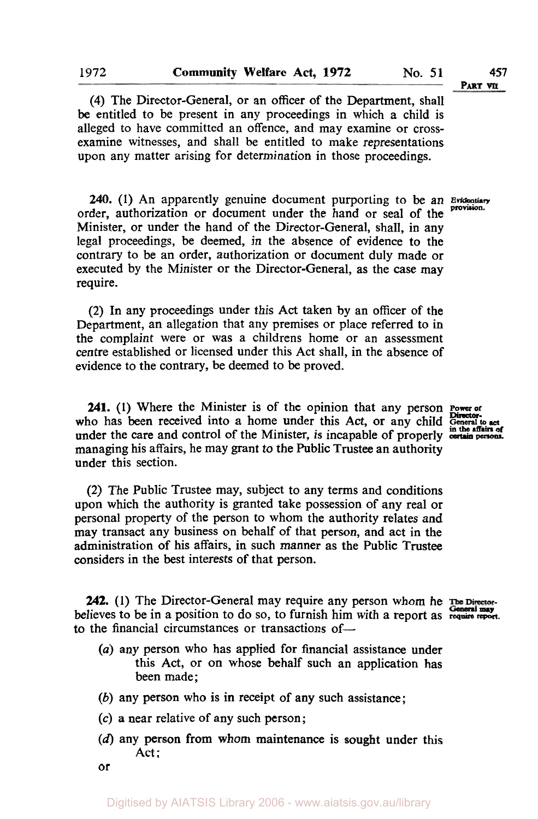**(4)** The Director-General, or an officer of the Department, shall be entitled to be present in any proceedings in which a child is alleged to have committed an offence, and may examine or crossexamine witnesses, and shall be entitled to make representations upon any matter arising for determination in those proceedings.

240. (1) An apparently genuine document purporting to be an Evidentiary order, authorization or document under the hand or seal of the Minister, or under the hand of the Director-General, shall, in any legal proceedings, be deemed, in the absence of evidence to the contrary to be an order, authorization or document duly made or executed by the Minister or the Director-General, as the case may require.

**(2)** In any proceedings under this Act taken by an officer of the Department, an allegation that any premises or place referred to in the complaint were or was a childrens home or an assessment centre established or licensed under this Act shall, in the absence **of**  evidence to the contrary, be deemed to be proved.

**241.** (1) Where the Minister is of the opinion that any person **Power of**  $\frac{1}{2}$ who has been received into a home under this Act, or any child General to act under the care and control of the Minister, is incapable of properly method and persons. managing his affairs, he may grant to the Public Trustee an authority under this section.

**(2)** The Public Trustee may, subject to any terms and conditions upon which the authority is granted take possession of any real or personal property of the person to whom the authority relates and may transact any business on behalf of that person, and act in the administration **of** his affairs, in such manner as the Public Trustee considers in the best interests **of** that person.

**242.** (1) The Director-General may require any person whom he The Directorbelieves to be in a position to do so, to furnish him with a report as require report. to the financial circumstances or transactions of-

- *(a)* any person who has applied for financial assistance under this Act, or on whose behalf such an application has been made ;
- *(b)* any person who is **in** receipt **of** any such assistance;
- *(c)* a near relative of any such person;
- **(d)** any person from whom maintenance **is** sought under this Act:
- or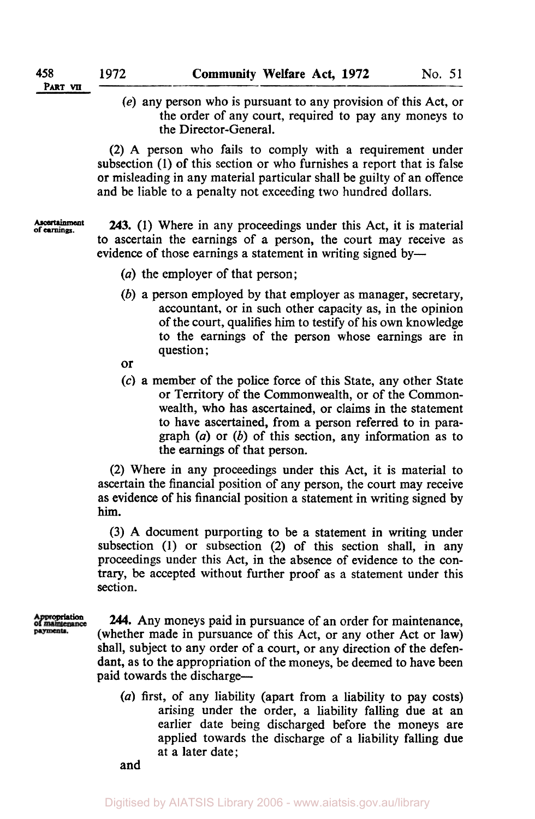(e) any person who is pursuant to any provision of this Act, or the order of any court, required to pay any moneys to the Director-General.

(2) A person who fails to comply with a requirement under subsection (1) of this section or who furnishes a report that is false or misleading in any material particular shall be guilty of an offence and be liable to a penalty not exceeding two hundred dollars.

**of Ascertainment earnings. 243.** (1) Where in any proceedings under this Act, it is material to ascertain the earnings of a person, the court may receive as evidence of those earnings a statement in writing signed by-

- *(a)* the employer of that person;
- (b) a person employed by that employer as manager, secretary, accountant, or in such other capacity as, in the opinion of the court, qualifies him to testify of his own knowledge to the earnings of the person whose earnings are in question ;
- or
- *(c)* a member of the police force of this State, any other State or Territory of the Commonwealth, or of the Commonwealth, who has ascertained, or claims in the statement to have ascertained, from a person referred to in paragraph *(a)* or (b) of this section, any information as to the earnings of that person.

(2) Where in any proceedings under this Act, it is material to ascertain the financial position of any person, the court may receive as evidence of his financial position a statement in writing signed by him.

(3) A document purporting to be a statement in writing under subsection (1) or subsection (2) of this section shall, in any proceedings under this Act, in the absence of evidence to the con*trary,* be accepted without further proof as a statement under this section.

**Appropriation** *244.* Any moneys paid in pursuance of an order for maintenance, (whether made in pursuance of this Act, or any other Act or law) shall, subject to any order of a court, or any direction of the defendant, as to the appropriation of the moneys, be deemed to have been paid towards the discharge-

> *(a)* first, of any liability (apart from a liability to pay costs) arising under the order, a liability falling due at an earlier date being discharged before the moneys are applied towards the discharge of a liability falling due at a later date;

and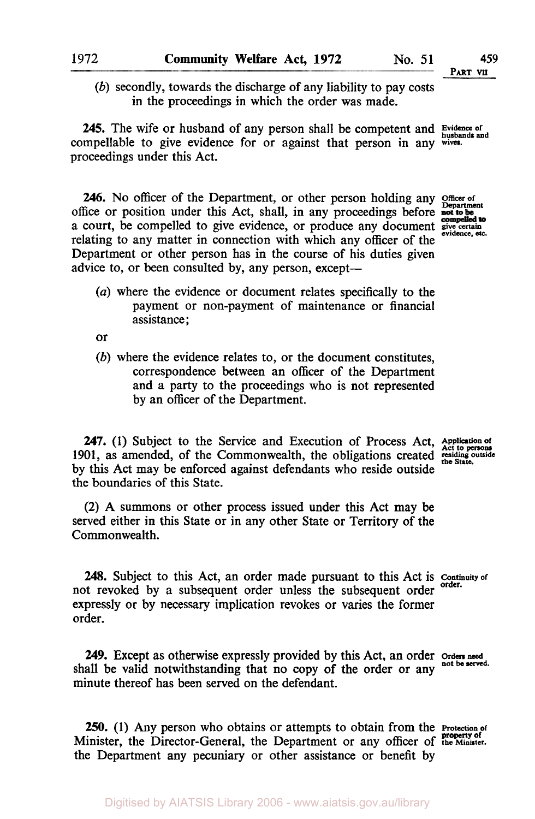**PART VII** 

*(b)* secondly, towards the discharge of any liability to pay costs in the proceedings in which the order was made.

**245.** The wife or husband of any person shall be competent and **Evidence** of compellable to give evidence for or against that person in any wives. proceedings under this Act.

**246.** No officer of the Department, or other person holding any **Officer** of office or position under this Act, shall, in any proceedings before not to be compelled to a court, be compelled to give evidence, or produce any document give certain evidence. relating to any matter in connection with which any officer of the Department or other person has in the course of his duties given advice to, or been consulted by, any person, except-

- 
- *(a)* where the evidence or document relates specifically to the payment or non-payment of maintenance or financial assistance;

or

*(b)* where the evidence relates to, or the document constitutes, correspondence between an officer of the Department and a party to the proceedings who is not represented by an officer of the Department.

247. (1) Subject to the Service and Execution of Process Act, Application of 1901, as amended, of the Commonwealth, the obligations created residing outside the State. by this Act may be enforced against defendants who reside outside the boundaries of this State.

**(2)** A summons or other process issued under this Act may be served either in this State or in any other State or Territory of the Commonwealth.

**248.** Subject to this Act, an order made pursuant to this Act is **Continuity of order.** not revoked by a subsequent order unless the subsequent order expressly or by necessary implication revokes or varies the former order.

**249.** Except as otherwise expressly provided by this Act, an order orders need not be served. shall be valid notwithstanding that no copy of the order or any minute thereof has been served on the defendant.

**250. (1)** Any person who obtains or attempts to obtain from the **Protection** *of*  Minister, the Director-General, the Department or any officer of **the Minister. property of**  the Department any pecuniary or other assistance or benefit by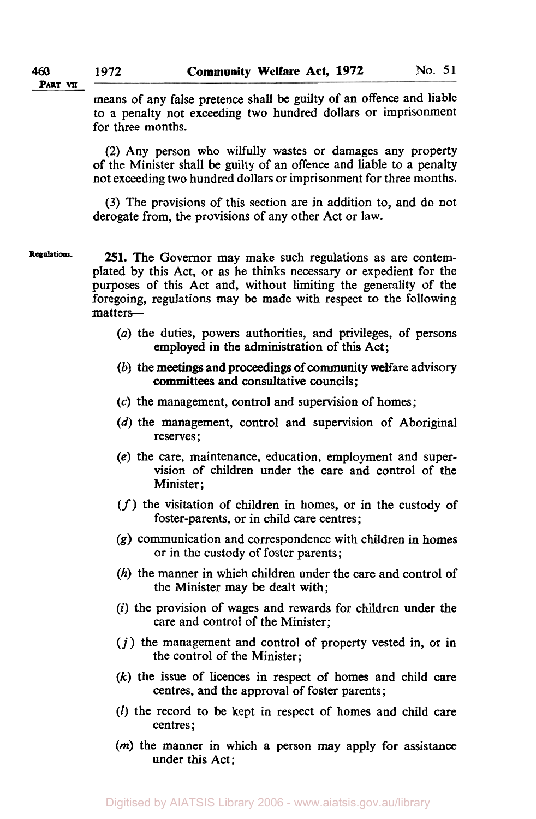**PART VII** 

means of any false pretence shall be guilty of an offence and liable to a penalty not exceeding two hundred dollars or imprisonment for three months.

(2) Any person who wilfully wastes or damages any property of the Minister shall be guilty of an offence and liable to a penalty not exceeding two hundred dollars or imprisonment for three months.

(3) The provisions of this section are in addition to, and do not derogate from, the provisions of any other Act or law.

Regulations. **251.** The Governor may make such regulations as are contemplated by this Act, or as he thinks necessary or expedient for the purposes of this Act and, without limiting the generality of the foregoing, regulations may be made with respect to the following matters-

- *(a)* the duties, powers authorities, and privileges, of persons employed in the administration of this Act;
- *(b)* the meetings and proceedings of community welfare advisory committees and consultative councils;
- *(c)* the management, control and supervision of homes;
- *(d)* the management, control and supervision of Aboriginal reserves ;
- **(e)** the care, maintenance, education, employment and supervision of children under the care and control of the Minister:
- *(f)* the visitation of children in homes, or in the custody of foster-parents, or in child care centres;
- *(g)* communication and correspondence with children in homes or in the custody of foster parents;
- *(h)* the manner in which children under the care and control of the Minister may be dealt with;
- *(i)* the provision of wages and rewards for children under the care and control of the Minister;
- $(j)$  the management and control of property vested in, or in the control of the Minister;
- *(k)* the issue of licences in respect of homes and child care centres, and the approval of foster parents;
- (I) the record to be kept in respect of homes and child care centres ;
- *(m)* the manner in which **a** person may apply for assistance under this Act;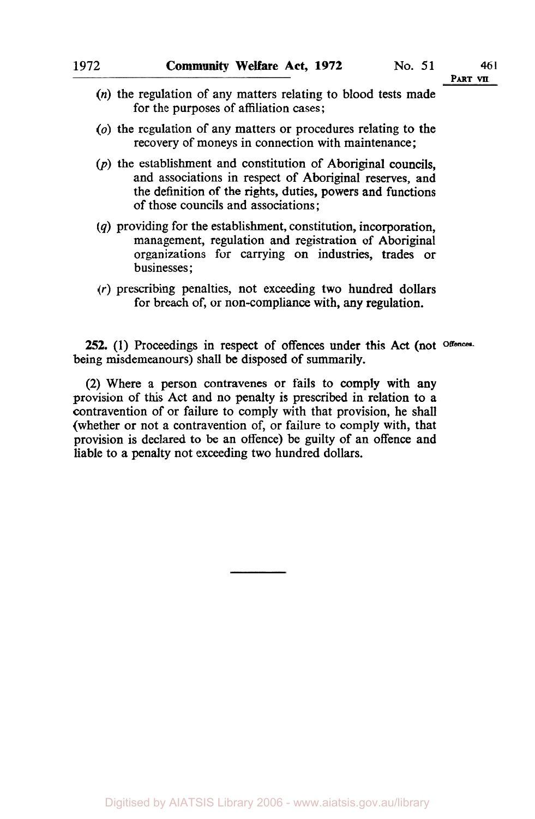- *(n)* the regulation of any matters relating to blood tests made for the purposes of affiliation cases;
- *(o)* the regulation of any matters or procedures relating to the recovery of moneys in connection with maintenance;
- $(p)$  the establishment and constitution of Aboriginal councils. and associations in respect of Aboriginal reserves, and the definition of the rights, duties, powers and functions of those councils and associations;
- *(q)* providing for the establishment, constitution, incorporation, management, regulation and registration of Aboriginal organizations for carrying on industries, trades or businesses ;
- (r) prescribing penalties, not exceeding two hundred dollars for breach of, or non-compliance with, **any** regulation.

252. (1) Proceedings in respect of offences under this Act (not <sup>Offences</sup>. being misdemeanours) shall be disposed of summarily.

(2) Where a person contravenes or fails to comply with any provision of this Act and no penalty is prescribed in relation to a contravention of or failure to comply with that provision, he shall (whether or not a contravention of, or failure to comply with, that provision is declared to be an offence) be guilty of an offence and liable to a penalty not exceeding two hundred dollars.